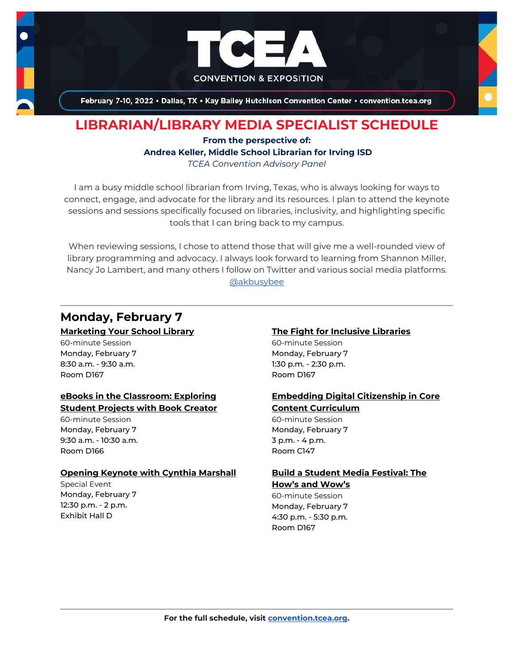

February 7-10, 2022 . Dallas, TX . Kay Bailey Hutchison Convention Center . convention.tcea.org

## **LIBRARIAN/LIBRARY MEDIA SPECIALIST SCHEDULE**

### **From the perspective of: Andrea Keller, Middle School Librarian for Irving ISD** *TCEA Convention Advisory Panel*

I am a busy middle school librarian from Irving, Texas, who is always looking for ways to connect, engage, and advocate for the library and its resources. I plan to attend the keynote sessions and sessions specifically focused on libraries, inclusivity, and highlighting specific tools that I can bring back to my campus.

When reviewing sessions, I chose to attend those that will give me a well-rounded view of library programming and advocacy. I always look forward to learning from Shannon Miller, Nancy Jo Lambert, and many others I follow on Twitter and various social media platforms. [@akbusybee](https://twitter.com/akbusybee)

## **Monday, February 7**

#### **[Marketing Your School Library](https://register.tcea.org/2022/session_list.cfm?session_key=023D3D68-F04D-A206-2B64-80383ACABBBC&session_date=Monday,%20Feb%2007,%202022)**

60-minute Session Monday, February 7 8:30 a.m. - 9:30 a.m. Room D167

## **[eBooks in the Classroom: Exploring](https://register.tcea.org/2022/session_list.cfm?session_key=0236B6E6-F04D-A206-2B64-32BA8B81011C&session_date=Monday,%20Feb%2007,%202022)  [Student Projects with Book Creator](https://register.tcea.org/2022/session_list.cfm?session_key=0236B6E6-F04D-A206-2B64-32BA8B81011C&session_date=Monday,%20Feb%2007,%202022)**

60-minute Session Monday, February 7 9:30 a.m. - 10:30 a.m. Room D166

#### **[Opening Keynote with Cynthia Marshall](https://register.tcea.org/2022/session_list.cfm?session_key=5F0745B8-F04D-A206-2B64-0D4631096E34&session_date=Monday,%20Feb%2007,%202022)**

Special Event Monday, February 7 12:30 p.m. - 2 p.m. Exhibit Hall D

## **[The Fight for Inclusive Libraries](https://register.tcea.org/2022/session_list.cfm?session_key=02429C9A-F04D-A206-2B64-9F46246DB9DA&session_date=Monday,%20Feb%2007,%202022)**

60-minute Session Monday, February 7 1:30 p.m. - 2:30 p.m. Room D167

### **[Embedding Digital Citizenship in Core](https://register.tcea.org/2022/session_list.cfm?session_key=0236E8F2-F04D-A206-2B64-286C5B821CB6&session_date=Monday,%20Feb%2007,%202022)  [Content Curriculum](https://register.tcea.org/2022/session_list.cfm?session_key=0236E8F2-F04D-A206-2B64-286C5B821CB6&session_date=Monday,%20Feb%2007,%202022)**

60-minute Session Monday, February 7 3 p.m. - 4 p.m. Room C147

## **[Build a Student Media Festival: The](https://register.tcea.org/2022/session_list.cfm?session_key=023266BF-F04D-A206-2B64-02D26A2B5DE4&session_date=Monday,%20Feb%2007,%202022)  [How's and Wow's](https://register.tcea.org/2022/session_list.cfm?session_key=023266BF-F04D-A206-2B64-02D26A2B5DE4&session_date=Monday,%20Feb%2007,%202022)**

60-minute Session Monday, February 7 4:30 p.m. - 5:30 p.m. Room D167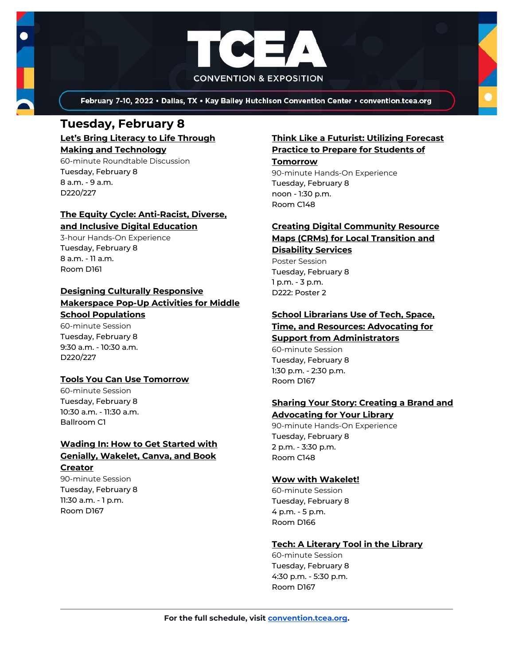

February 7-10, 2022 . Dallas, TX . Kay Bailey Hutchison Convention Center . convention.tcea.org

# **Tuesday, February 8**

**[Let's Bring Literacy to Life Through](https://register.tcea.org/2022/session_list.cfm?session_key=C22522D7-F04D-A206-2B64-76E71CD3730B&session_date=Tuesday,%20Feb%2008,%202022)  [Making and Technology](https://register.tcea.org/2022/session_list.cfm?session_key=C22522D7-F04D-A206-2B64-76E71CD3730B&session_date=Tuesday,%20Feb%2008,%202022)**

60-minute Roundtable Discussion Tuesday, February 8 8 a.m. - 9 a.m. D220/227

#### **[The Equity Cycle: Anti-Racist, Diverse,](https://register.tcea.org/2022/session_list.cfm?session_key=C7D0EECE-F04D-A206-2B64-047DED2E344B&session_date=Tuesday,%20Feb%2008,%202022)  [and Inclusive Digital Education](https://register.tcea.org/2022/session_list.cfm?session_key=C7D0EECE-F04D-A206-2B64-047DED2E344B&session_date=Tuesday,%20Feb%2008,%202022)**

3-hour Hands-On Experience Tuesday, February 8 8 a.m. - 11 a.m. Room D161

### **[Designing Culturally Responsive](https://register.tcea.org/2022/session_list.cfm?session_key=02357446-F04D-A206-2B64-1D1E327CA09D&session_date=Tuesday,%20Feb%2008,%202022)  [Makerspace Pop-Up Activities for Middle](https://register.tcea.org/2022/session_list.cfm?session_key=02357446-F04D-A206-2B64-1D1E327CA09D&session_date=Tuesday,%20Feb%2008,%202022)  [School Populations](https://register.tcea.org/2022/session_list.cfm?session_key=02357446-F04D-A206-2B64-1D1E327CA09D&session_date=Tuesday,%20Feb%2008,%202022)**

60-minute Session Tuesday, February 8 9:30 a.m. - 10:30 a.m. D220/227

## **[Tools You Can Use Tomorrow](https://register.tcea.org/2022/session_list.cfm?session_key=BF195C76-F04D-A206-2B64-B53B7B3C0EA7&session_date=Tuesday,%20Feb%2008,%202022)**

60-minute Session Tuesday, February 8 10:30 a.m. - 11:30 a.m. Ballroom C1

## **[Wading In: How to Get Started with](https://register.tcea.org/2022/session_list.cfm?session_key=02456A4F-F04D-A206-2B64-A588C7DEF838&session_date=Tuesday,%20Feb%2008,%202022)  [Genially, Wakelet, Canva, and Book](https://register.tcea.org/2022/session_list.cfm?session_key=02456A4F-F04D-A206-2B64-A588C7DEF838&session_date=Tuesday,%20Feb%2008,%202022)  [Creator](https://register.tcea.org/2022/session_list.cfm?session_key=02456A4F-F04D-A206-2B64-A588C7DEF838&session_date=Tuesday,%20Feb%2008,%202022)**

90-minute Session Tuesday, February 8 11:30 a.m. - 1 p.m. Room D167

## **[Think Like a Futurist: Utilizing Forecast](https://register.tcea.org/2022/session_list.cfm?session_key=02433DCD-F04D-A206-2B64-D1DBDB29C784&session_date=Tuesday,%20Feb%2008,%202022)  [Practice to Prepare for Students of](https://register.tcea.org/2022/session_list.cfm?session_key=02433DCD-F04D-A206-2B64-D1DBDB29C784&session_date=Tuesday,%20Feb%2008,%202022)**

**[Tomorrow](https://register.tcea.org/2022/session_list.cfm?session_key=02433DCD-F04D-A206-2B64-D1DBDB29C784&session_date=Tuesday,%20Feb%2008,%202022)** 90-minute Hands-On Experience Tuesday, February 8 noon - 1:30 p.m.

## **[Creating Digital Community Resource](https://register.tcea.org/2022/session_list.cfm?session_key=023457F3-F04D-A206-2B64-3A96E71AC551&session_date=Tuesday,%20Feb%2008,%202022)  [Maps \(CRMs\) for Local Transition and](https://register.tcea.org/2022/session_list.cfm?session_key=023457F3-F04D-A206-2B64-3A96E71AC551&session_date=Tuesday,%20Feb%2008,%202022)  [Disability Services](https://register.tcea.org/2022/session_list.cfm?session_key=023457F3-F04D-A206-2B64-3A96E71AC551&session_date=Tuesday,%20Feb%2008,%202022)**

Poster Session Tuesday, February 8 1 p.m. - 3 p.m. D222: Poster 2

Room C148

### **[School Librarians Use of Tech, Space,](https://register.tcea.org/2022/session_list.cfm?session_key=023FEE30-F04D-A206-2B64-1DFF84558016&session_date=Tuesday,%20Feb%2008,%202022)  [Time, and Resources: Advocating for](https://register.tcea.org/2022/session_list.cfm?session_key=023FEE30-F04D-A206-2B64-1DFF84558016&session_date=Tuesday,%20Feb%2008,%202022)**

**[Support from Administrators](https://register.tcea.org/2022/session_list.cfm?session_key=023FEE30-F04D-A206-2B64-1DFF84558016&session_date=Tuesday,%20Feb%2008,%202022)** 60-minute Session Tuesday, February 8 1:30 p.m. - 2:30 p.m. Room D167

## **[Sharing Your Story: Creating a Brand and](https://register.tcea.org/2022/session_list.cfm?session_key=C225344D-F04D-A206-2B64-A52A2590CC2E&session_date=Tuesday,%20Feb%2008,%202022)  [Advocating for Your Library](https://register.tcea.org/2022/session_list.cfm?session_key=C225344D-F04D-A206-2B64-A52A2590CC2E&session_date=Tuesday,%20Feb%2008,%202022)**

90-minute Hands-On Experience Tuesday, February 8 2 p.m. - 3:30 p.m. Room C148

## **[Wow with Wakelet!](https://register.tcea.org/2022/session_list.cfm?session_key=0246356D-F04D-A206-2B64-7E09DDA6F887&session_date=Tuesday,%20Feb%2008,%202022)**

60-minute Session Tuesday, February 8 4 p.m. - 5 p.m. Room D166

## **[Tech: A Literary Tool in the Library](https://register.tcea.org/2022/session_list.cfm?session_key=02423D1E-F04D-A206-2B64-851915C76BCE&session_date=Tuesday,%20Feb%2008,%202022)**

60-minute Session Tuesday, February 8 4:30 p.m. - 5:30 p.m. Room D167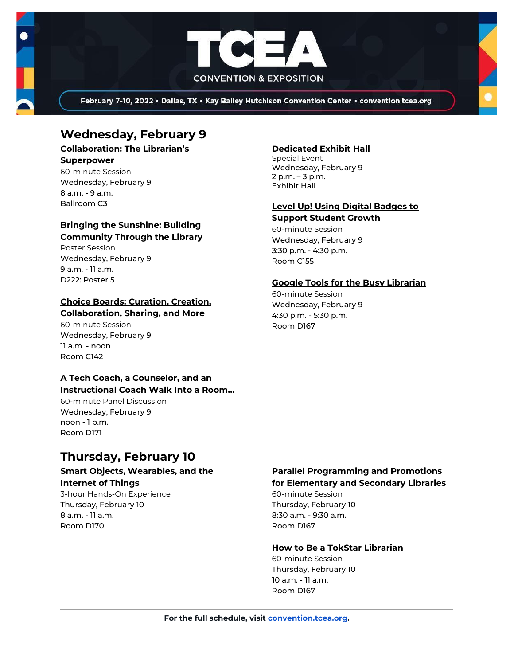

February 7-10, 2022 . Dallas, TX . Kay Bailey Hutchison Convention Center . convention.tcea.org

## **Wednesday, February 9**

**[Collaboration: The Librarian's](https://register.tcea.org/2022/session_list.cfm?session_key=C224E108-F04D-A206-2B64-90C34E467705&session_date=Wednesday,%20Feb%2009,%202022)** 

#### **[Superpower](https://register.tcea.org/2022/session_list.cfm?session_key=C224E108-F04D-A206-2B64-90C34E467705&session_date=Wednesday,%20Feb%2009,%202022)**

60-minute Session Wednesday, February 9 8 a.m. - 9 a.m. Ballroom C3

## **[Bringing the Sunshine: Building](https://register.tcea.org/2022/session_list.cfm?session_key=02325D3D-F04D-A206-2B64-5750B4BAF239&session_date=Wednesday,%20Feb%2009,%202022)  [Community Through the Library](https://register.tcea.org/2022/session_list.cfm?session_key=02325D3D-F04D-A206-2B64-5750B4BAF239&session_date=Wednesday,%20Feb%2009,%202022)**

Poster Session Wednesday, February 9 9 a.m. - 11 a.m. D<sub>222</sub>: Poster 5

#### **[Choice Boards: Curation, Creation,](https://register.tcea.org/2022/session_list.cfm?session_key=C224CDB4-F04D-A206-2B64-F437DBD71572&session_date=Wednesday,%20Feb%2009,%202022)  [Collaboration, Sharing, and More](https://register.tcea.org/2022/session_list.cfm?session_key=C224CDB4-F04D-A206-2B64-F437DBD71572&session_date=Wednesday,%20Feb%2009,%202022)**

60-minute Session Wednesday, February 9 11 a.m. - noon Room C142

## **[A Tech Coach, a Counselor, and an](https://register.tcea.org/2022/session_list.cfm?session_key=02302E82-F04D-A206-2B64-ED1CE12D000A&session_date=Wednesday,%20Feb%2009,%202022)**

## **[Instructional Coach Walk Into a Room...](https://register.tcea.org/2022/session_list.cfm?session_key=02302E82-F04D-A206-2B64-ED1CE12D000A&session_date=Wednesday,%20Feb%2009,%202022)**

60-minute Panel Discussion Wednesday, February 9 noon - 1 p.m. Room D171

## **Thursday, February 10**

## **[Smart Objects, Wearables, and the](https://register.tcea.org/2022/session_list.cfm?session_key=0240AC37-F04D-A206-2B64-EECB6B3EBC74&session_date=Thursday,%20Feb%2010,%202022)**

**[Internet of Things](https://register.tcea.org/2022/session_list.cfm?session_key=0240AC37-F04D-A206-2B64-EECB6B3EBC74&session_date=Thursday,%20Feb%2010,%202022)**

3-hour Hands-On Experience Thursday, February 10 8 a.m. - 11 a.m. Room D170

## **[Dedicated Exhibit Hall](https://register.tcea.org/2022/session_list.cfm?session_key=61CDD8E6-F04D-A206-2B64-74AAAD8173D7&session_date=Wednesday,%20Feb%2009,%202022)**

Special Event Wednesday, February 9 2 p.m. – 3 p.m. Exhibit Hall

#### **[Level Up! Using Digital Badges to](https://register.tcea.org/2022/session_list.cfm?session_key=023C9299-F04D-A206-2B64-FC6220F08B12&session_date=Wednesday,%20Feb%2009,%202022)  [Support Student Growth](https://register.tcea.org/2022/session_list.cfm?session_key=023C9299-F04D-A206-2B64-FC6220F08B12&session_date=Wednesday,%20Feb%2009,%202022)**

60-minute Session Wednesday, February 9 3:30 p.m. - 4:30 p.m. Room C155

## **[Google Tools for the Busy Librarian](https://register.tcea.org/2022/session_list.cfm?session_key=02393106-F04D-A206-2B64-0B7D9CB21624&session_date=Wednesday,%20Feb%2009,%202022)**

60-minute Session Wednesday, February 9 4:30 p.m. - 5:30 p.m. Room D167

## **[Parallel Programming and Promotions](https://register.tcea.org/2022/session_list.cfm?session_key=023E248E-F04D-A206-2B64-6EE6CBA77EE9&session_date=Thursday,%20Feb%2010,%202022)**

### **[for Elementary and Secondary Libraries](https://register.tcea.org/2022/session_list.cfm?session_key=023E248E-F04D-A206-2B64-6EE6CBA77EE9&session_date=Thursday,%20Feb%2010,%202022)**

60-minute Session Thursday, February 10 8:30 a.m. - 9:30 a.m. Room D167

#### **[How to Be a TokStar Librarian](https://register.tcea.org/2022/session_list.cfm?session_key=0239B920-F04D-A206-2B64-C697E6AE7385&session_date=Thursday,%20Feb%2010,%202022)**

60-minute Session Thursday, February 10 10 a.m. - 11 a.m. Room D167